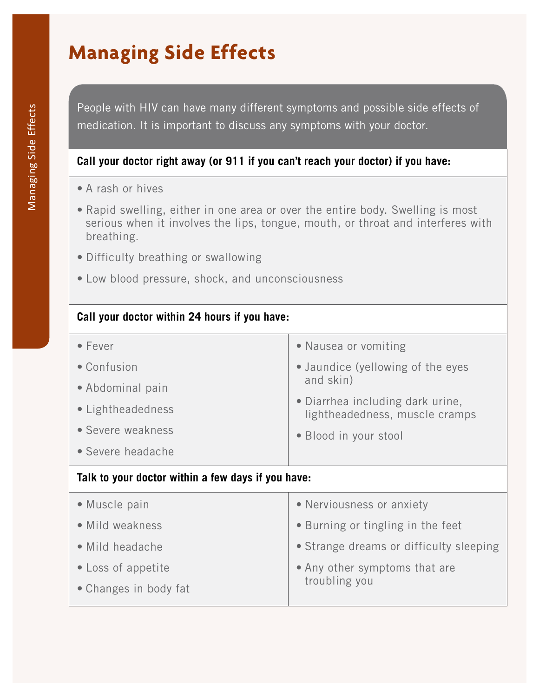### **Managing Side Effects**

People with HIV can have many different symptoms and possible side effects of medication. It is important to discuss any symptoms with your doctor.

#### **Call your doctor right away (or 911 if you can't reach your doctor) if you have:**

- A rash or hives
- Rapid swelling, either in one area or over the entire body. Swelling is most serious when it involves the lips, tongue, mouth, or throat and interferes with breathing.
- Difficulty breathing or swallowing
- Low blood pressure, shock, and unconsciousness

| Call your doctor within 24 hours if you have:      |                                                                                                                      |  |  |  |  |
|----------------------------------------------------|----------------------------------------------------------------------------------------------------------------------|--|--|--|--|
| $\bullet$ Fever                                    | • Nausea or vomiting                                                                                                 |  |  |  |  |
| • Confusion                                        | • Jaundice (yellowing of the eyes<br>and skin)<br>• Diarrhea including dark urine,<br>lightheadedness, muscle cramps |  |  |  |  |
| • Abdominal pain                                   |                                                                                                                      |  |  |  |  |
| • Lightheadedness                                  |                                                                                                                      |  |  |  |  |
| • Severe weakness                                  | • Blood in your stool                                                                                                |  |  |  |  |
| • Severe headache                                  |                                                                                                                      |  |  |  |  |
| Talk to your doctor within a few days if you have: |                                                                                                                      |  |  |  |  |
| • Muscle pain                                      | • Nerviousness or anxiety                                                                                            |  |  |  |  |
| • Mild weakness                                    | • Burning or tingling in the feet                                                                                    |  |  |  |  |
| • Mild headache                                    | • Strange dreams or difficulty sleeping                                                                              |  |  |  |  |
| • Loss of appetite                                 | • Any other symptoms that are                                                                                        |  |  |  |  |
| • Changes in body fat                              | troubling you                                                                                                        |  |  |  |  |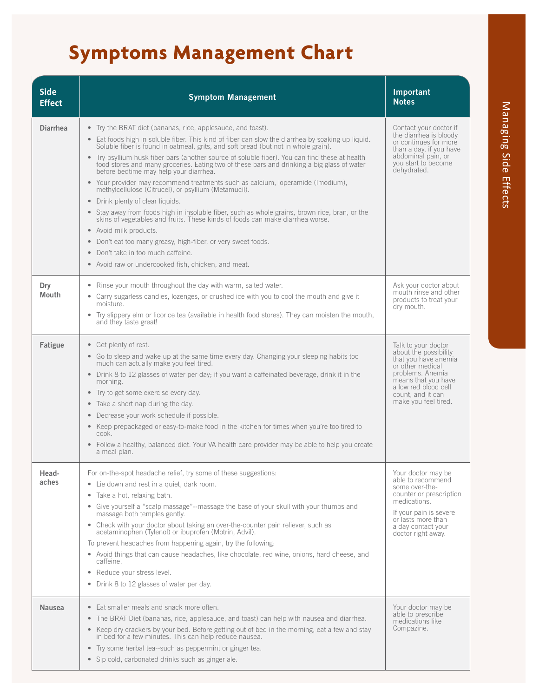# **Symptoms Management Chart**

| <b>Side</b><br><b>Effect</b> | <b>Symptom Management</b>                                                                                                                                                                                                                                                                                                                                                                                                                                                                                                                                                                                                                                                                                                                                                                                                                                                                                                                                                                                                                            | Important<br><b>Notes</b>                                                                                                                                                                                |
|------------------------------|------------------------------------------------------------------------------------------------------------------------------------------------------------------------------------------------------------------------------------------------------------------------------------------------------------------------------------------------------------------------------------------------------------------------------------------------------------------------------------------------------------------------------------------------------------------------------------------------------------------------------------------------------------------------------------------------------------------------------------------------------------------------------------------------------------------------------------------------------------------------------------------------------------------------------------------------------------------------------------------------------------------------------------------------------|----------------------------------------------------------------------------------------------------------------------------------------------------------------------------------------------------------|
| <b>Diarrhea</b>              | • Try the BRAT diet (bananas, rice, applesauce, and toast).<br>• Eat foods high in soluble fiber. This kind of fiber can slow the diarrhea by soaking up liquid.<br>Soluble fiber is found in oatmeal, grits, and soft bread (but not in whole grain).<br>• Try psyllium husk fiber bars (another source of soluble fiber). You can find these at health<br>food stores and many groceries. Eating two of these bars and drinking a big glass of water<br>before bedtime may help your diarrhea.<br>• Your provider may recommend treatments such as calcium, loperamide (Imodium),<br>methylcellulose (Citrucel), or psyllium (Metamucil).<br>Drink plenty of clear liquids.<br>• Stay away from foods high in insoluble fiber, such as whole grains, brown rice, bran, or the<br>skins of vegetables and fruits. These kinds of foods can make diarrhea worse.<br>• Avoid milk products.<br>Don't eat too many greasy, high-fiber, or very sweet foods.<br>Don't take in too much caffeine.<br>• Avoid raw or undercooked fish, chicken, and meat. | Contact your doctor if<br>the diarrhea is bloody<br>or continues for more<br>than a day, if you have<br>abdominal pain, or<br>you start to become<br>dehydrated.                                         |
| Dry<br>Mouth                 | • Rinse your mouth throughout the day with warm, salted water.<br>Carry sugarless candies, lozenges, or crushed ice with you to cool the mouth and give it<br>moisture.<br>Try slippery elm or licorice tea (available in health food stores). They can moisten the mouth,<br>and they taste great!                                                                                                                                                                                                                                                                                                                                                                                                                                                                                                                                                                                                                                                                                                                                                  | Ask your doctor about<br>mouth rinse and other<br>products to treat your<br>dry mouth.                                                                                                                   |
| Fatigue                      | • Get plenty of rest.<br>• Go to sleep and wake up at the same time every day. Changing your sleeping habits too<br>much can actually make you feel tired.<br>• Drink 8 to 12 glasses of water per day; if you want a caffeinated beverage, drink it in the<br>morning.<br>• Try to get some exercise every day.<br>• Take a short nap during the day.<br>Decrease your work schedule if possible.<br>• Keep prepackaged or easy-to-make food in the kitchen for times when you're too tired to<br>cook.<br>• Follow a healthy, balanced diet. Your VA health care provider may be able to help you create<br>a meal plan.                                                                                                                                                                                                                                                                                                                                                                                                                           | Talk to your doctor<br>about the possibility<br>that you have anemia<br>or other medical<br>problems. Anemia<br>means that you have<br>a low red blood cell<br>count, and it can<br>make you feel tired. |
| Head-<br>aches               | For on-the-spot headache relief, try some of these suggestions:<br>• Lie down and rest in a quiet, dark room.<br>Take a hot, relaxing bath.<br>٠<br>• Give yourself a "scalp massage"--massage the base of your skull with your thumbs and<br>massage both temples gently.<br>• Check with your doctor about taking an over-the-counter pain reliever, such as<br>acetaminophen (Tylenol) or ibuprofen (Motrin, Advil).<br>To prevent headaches from happening again, try the following:<br>• Avoid things that can cause headaches, like chocolate, red wine, onions, hard cheese, and<br>caffeine.<br>Reduce your stress level.<br>Drink 8 to 12 glasses of water per day.<br>$\bullet$                                                                                                                                                                                                                                                                                                                                                            | Your doctor may be<br>able to recommend<br>some over-the-<br>counter or prescription<br>medications.<br>If your pain is severe<br>or lasts more than<br>a day contact your<br>doctor right away.         |
| Nausea                       | • Eat smaller meals and snack more often.<br>The BRAT Diet (bananas, rice, applesauce, and toast) can help with nausea and diarrhea.<br>• Keep dry crackers by your bed. Before getting out of bed in the morning, eat a few and stay<br>in bed for a few minutes. This can help reduce nausea.<br>• Try some herbal tea--such as peppermint or ginger tea.<br>• Sip cold, carbonated drinks such as ginger ale.                                                                                                                                                                                                                                                                                                                                                                                                                                                                                                                                                                                                                                     | Your doctor may be<br>able to prescribe<br>medications like<br>Compazine.                                                                                                                                |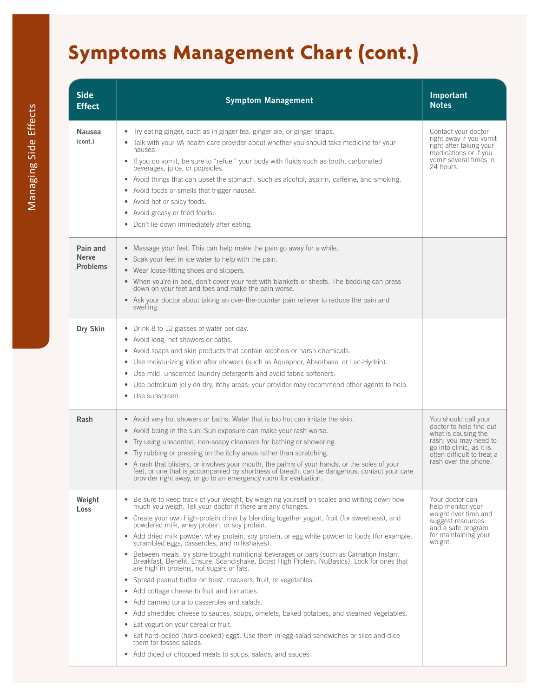# **Symptoms Management Chart (cont.)**

| <b>Side</b><br><b>Effect</b>                | <b>Symptom Management</b>                                                                                                                                                                                                                                                                                                                                                                                                                                                                                                                                                                                                                                                                                                                                                                                                                                                                                                                                                                                                                                                                                                                                                                                                                       | Important<br><b>Notes</b>                                                                                                                                                         |
|---------------------------------------------|-------------------------------------------------------------------------------------------------------------------------------------------------------------------------------------------------------------------------------------------------------------------------------------------------------------------------------------------------------------------------------------------------------------------------------------------------------------------------------------------------------------------------------------------------------------------------------------------------------------------------------------------------------------------------------------------------------------------------------------------------------------------------------------------------------------------------------------------------------------------------------------------------------------------------------------------------------------------------------------------------------------------------------------------------------------------------------------------------------------------------------------------------------------------------------------------------------------------------------------------------|-----------------------------------------------------------------------------------------------------------------------------------------------------------------------------------|
| Nausea<br>(cont.)                           | Try eating ginger, such as in ginger tea, ginger ale, or ginger snaps.<br>Talk with your VA health care provider about whether you should take medicine for your<br>nausea.<br>If you do vomit, be sure to "refuel" your body with fluids such as broth, carbonated<br>beverages, juice, or popsicles.<br>Avoid things that can upset the stomach, such as alcohol, aspirin, caffeine, and smoking.<br>Avoid foods or smells that trigger nausea.<br>Avoid hot or spicy foods.<br>Avoid greasy or fried foods.<br>Don't lie down immediately after eating.                                                                                                                                                                                                                                                                                                                                                                                                                                                                                                                                                                                                                                                                                      | Contact your doctor<br>right away if you vomit<br>right after taking your<br>medications or if you<br>vomit several times in<br>24 hours                                          |
| Pain and<br><b>Nerve</b><br><b>Problems</b> | Massage your feet. This can help make the pain go away for a while.<br>Soak your feet in ice water to help with the pain.<br>$\bullet$<br>Wear loose-fitting shoes and slippers.<br>• When you're in bed, don't cover your feet with blankets or sheets. The bedding can press<br>down on your feet and toes and make the pain worse.<br>Ask your doctor about taking an over-the-counter pain reliever to reduce the pain and<br>swelling.                                                                                                                                                                                                                                                                                                                                                                                                                                                                                                                                                                                                                                                                                                                                                                                                     |                                                                                                                                                                                   |
| Dry Skin                                    | Drink 8 to 12 glasses of water per day.<br>Avoid long, hot showers or baths.<br>Avoid soaps and skin products that contain alcohols or harsh chemicals.<br>Use moisturizing lotion after showers (such as Aquaphor, Absorbase, or Lac-Hydrin).<br>$\bullet$<br>Use mild, unscented laundry detergents and avoid fabric softeners.<br>$\bullet$<br>Use petroleum jelly on dry, itchy areas; your provider may recommend other agents to help.<br>$\bullet$<br>Use sunscreen.                                                                                                                                                                                                                                                                                                                                                                                                                                                                                                                                                                                                                                                                                                                                                                     |                                                                                                                                                                                   |
| Rash                                        | Avoid very hot showers or baths. Water that is too hot can irritate the skin.<br>$\bullet$<br>Avoid being in the sun. Sun exposure can make your rash worse.<br>$\bullet$<br>Try using unscented, non-soapy cleansers for bathing or showering.<br>$\bullet$<br>Try rubbing or pressing on the itchy areas rather than scratching.<br>A rash that blisters, or involves your mouth, the palms of your hands, or the soles of your<br>feet, or one that is accompanied by shortness of breath, can be dangerous: contact your care<br>provider right away, or go to an emergency room for evaluation.                                                                                                                                                                                                                                                                                                                                                                                                                                                                                                                                                                                                                                            | You should call your<br>doctor to help find out<br>what is causing the<br>rash; you may need to<br>go into clinic, as it is<br>often difficult to treat a<br>rash over the phone. |
| Weight<br>Loss                              | Be sure to keep track of your weight, by weighing yourself on scales and writing down how<br>much you weigh. Tell your doctor if there are any changes.<br>• Create your own high-protein drink by blending together yogurt, fruit (for sweetness), and<br>powdered milk, whey protein, or soy protein.<br>Add dried milk powder, whey protein, soy protein, or egg white powder to foods (for example,<br>$\bullet$<br>scrambled eggs, casseroles, and milkshakes).<br>Between meals, try store-bought nutritional beverages or bars (such as Carnation Instant<br>Breakfast, Benefit, Ensure, Scandishake, Boost High Protein, NuBasics). Look for ones that<br>are high in proteins, not sugars or fats.<br>Spread peanut butter on toast, crackers, fruit, or vegetables.<br>$\bullet$<br>Add cottage cheese to fruit and tomatoes.<br>Add canned tuna to casseroles and salads.<br>$\bullet$<br>Add shredded cheese to sauces, soups, omelets, baked potatoes, and steamed vegetables.<br>$\bullet$<br>Eat yogurt on your cereal or fruit.<br>$\bullet$<br>Eat hard-boiled (hard-cooked) eggs. Use them in egg-salad sandwiches or slice and dice<br>them for tossed salads.<br>• Add diced or chopped meats to soups, salads, and sauces. | Your doctor can<br>help monitor your<br>weight over time and<br>suggest resources<br>and a safe program<br>for maintaining your<br>weight.                                        |